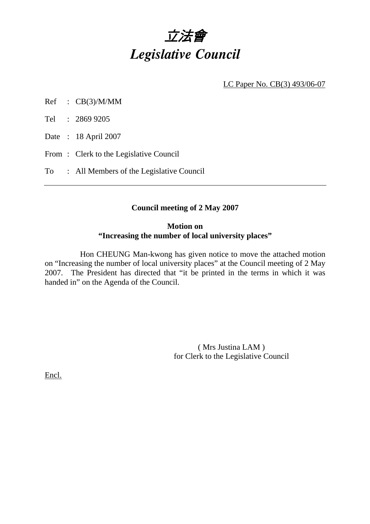# 立法會 *Legislative Council*

LC Paper No. CB(3) 493/06-07

- Ref : CB(3)/M/MM
- Tel : 2869 9205
- Date : 18 April 2007
- From : Clerk to the Legislative Council
- To : All Members of the Legislative Council

## **Council meeting of 2 May 2007**

## **Motion on "Increasing the number of local university places"**

 Hon CHEUNG Man-kwong has given notice to move the attached motion on "Increasing the number of local university places" at the Council meeting of 2 May 2007. The President has directed that "it be printed in the terms in which it was handed in" on the Agenda of the Council.

> ( Mrs Justina LAM ) for Clerk to the Legislative Council

Encl.